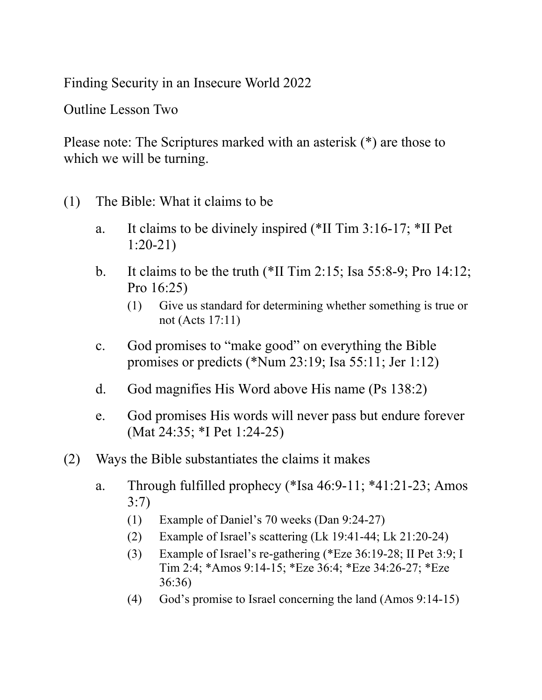Finding Security in an Insecure World 2022

Outline Lesson Two

Please note: The Scriptures marked with an asterisk (\*) are those to which we will be turning.

- (1) The Bible: What it claims to be
	- a. It claims to be divinely inspired (\*II Tim 3:16-17; \*II Pet 1:20-21)
	- b. It claims to be the truth (\*II Tim 2:15; Isa 55:8-9; Pro 14:12; Pro 16:25)
		- (1) Give us standard for determining whether something is true or not (Acts 17:11)
	- c. God promises to "make good" on everything the Bible promises or predicts (\*Num 23:19; Isa 55:11; Jer 1:12)
	- d. God magnifies His Word above His name (Ps 138:2)
	- e. God promises His words will never pass but endure forever (Mat 24:35; \*I Pet 1:24-25)
- (2) Ways the Bible substantiates the claims it makes
	- a. Through fulfilled prophecy (\*Isa 46:9-11; \*41:21-23; Amos 3:7)
		- (1) Example of Daniel's 70 weeks (Dan 9:24-27)
		- (2) Example of Israel's scattering (Lk 19:41-44; Lk 21:20-24)
		- (3) Example of Israel's re-gathering (\*Eze 36:19-28; II Pet 3:9; I Tim 2:4; \*Amos 9:14-15; \*Eze 36:4; \*Eze 34:26-27; \*Eze 36:36)
		- (4) God's promise to Israel concerning the land (Amos 9:14-15)